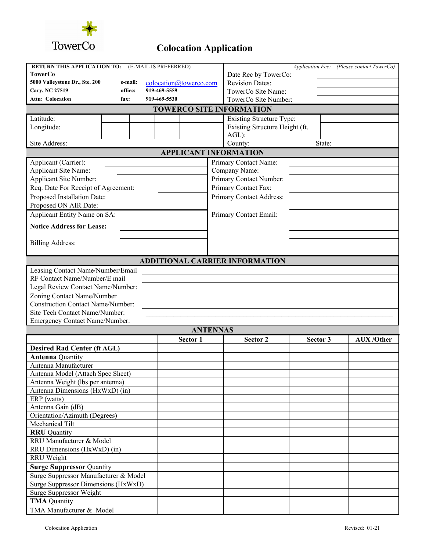

## **Colocation Application**

| RETURN THIS APPLICATION TO:                                         |  | (E-MAIL IS PREFERRED) |  |                              |                                       |          | Application Fee: (Please contact TowerCo) |  |  |  |  |  |
|---------------------------------------------------------------------|--|-----------------------|--|------------------------------|---------------------------------------|----------|-------------------------------------------|--|--|--|--|--|
| TowerCo                                                             |  |                       |  |                              | Date Rec by TowerCo:                  |          |                                           |  |  |  |  |  |
| 5000 Valleystone Dr., Ste. 200<br>e-mail:<br>colocation@towerco.com |  |                       |  |                              | <b>Revision Dates:</b>                |          |                                           |  |  |  |  |  |
| 919-469-5559<br>Cary, NC 27519<br>office:                           |  |                       |  | TowerCo Site Name:           |                                       |          |                                           |  |  |  |  |  |
| Attn: Colocation<br>919-469-5530<br>fax:                            |  |                       |  |                              | TowerCo Site Number:                  |          |                                           |  |  |  |  |  |
| <b>TOWERCO SITE INFORMATION</b>                                     |  |                       |  |                              |                                       |          |                                           |  |  |  |  |  |
| Latitude:                                                           |  |                       |  |                              | <b>Existing Structure Type:</b>       |          |                                           |  |  |  |  |  |
| Longitude:                                                          |  |                       |  |                              | Existing Structure Height (ft.        |          |                                           |  |  |  |  |  |
|                                                                     |  |                       |  |                              | $AGL$ :                               |          |                                           |  |  |  |  |  |
| Site Address:                                                       |  |                       |  |                              | County:<br>State:                     |          |                                           |  |  |  |  |  |
|                                                                     |  |                       |  | <b>APPLICANT INFORMATION</b> |                                       |          |                                           |  |  |  |  |  |
| Applicant (Carrier):                                                |  |                       |  |                              | Primary Contact Name:                 |          |                                           |  |  |  |  |  |
| Applicant Site Name:                                                |  |                       |  |                              | Company Name:                         |          |                                           |  |  |  |  |  |
| Applicant Site Number:                                              |  |                       |  |                              | Primary Contact Number:               |          |                                           |  |  |  |  |  |
| Req. Date For Receipt of Agreement:                                 |  |                       |  |                              | Primary Contact Fax:                  |          |                                           |  |  |  |  |  |
| Proposed Installation Date:                                         |  |                       |  |                              | Primary Contact Address:              |          |                                           |  |  |  |  |  |
| Proposed ON AIR Date:                                               |  |                       |  |                              |                                       |          |                                           |  |  |  |  |  |
| Applicant Entity Name on SA:                                        |  |                       |  |                              | Primary Contact Email:                |          |                                           |  |  |  |  |  |
| <b>Notice Address for Lease:</b>                                    |  |                       |  |                              |                                       |          |                                           |  |  |  |  |  |
|                                                                     |  |                       |  |                              |                                       |          |                                           |  |  |  |  |  |
| <b>Billing Address:</b>                                             |  |                       |  |                              |                                       |          |                                           |  |  |  |  |  |
|                                                                     |  |                       |  |                              |                                       |          |                                           |  |  |  |  |  |
|                                                                     |  |                       |  |                              | <b>ADDITIONAL CARRIER INFORMATION</b> |          |                                           |  |  |  |  |  |
| Leasing Contact Name/Number/Email                                   |  |                       |  |                              |                                       |          |                                           |  |  |  |  |  |
| RF Contact Name/Number/E mail                                       |  |                       |  |                              |                                       |          |                                           |  |  |  |  |  |
| Legal Review Contact Name/Number:                                   |  |                       |  |                              |                                       |          |                                           |  |  |  |  |  |
| Zoning Contact Name/Number                                          |  |                       |  |                              |                                       |          |                                           |  |  |  |  |  |
| <b>Construction Contact Name/Number:</b>                            |  |                       |  |                              |                                       |          |                                           |  |  |  |  |  |
| Site Tech Contact Name/Number:                                      |  |                       |  |                              |                                       |          |                                           |  |  |  |  |  |
| Emergency Contact Name/Number:                                      |  |                       |  |                              |                                       |          |                                           |  |  |  |  |  |
|                                                                     |  |                       |  | <b>ANTENNAS</b>              |                                       |          |                                           |  |  |  |  |  |
|                                                                     |  |                       |  | Sector 1                     | Sector 2                              | Sector 3 | <b>AUX/Other</b>                          |  |  |  |  |  |
| <b>Desired Rad Center (ft AGL)</b>                                  |  |                       |  |                              |                                       |          |                                           |  |  |  |  |  |
| <b>Antenna Quantity</b>                                             |  |                       |  |                              |                                       |          |                                           |  |  |  |  |  |
| Antenna Manufacturer                                                |  |                       |  |                              |                                       |          |                                           |  |  |  |  |  |
| Antenna Model (Attach Spec Sheet)                                   |  |                       |  |                              |                                       |          |                                           |  |  |  |  |  |
| Antenna Weight (lbs per antenna)                                    |  |                       |  |                              |                                       |          |                                           |  |  |  |  |  |
| Antenna Dimensions (HxWxD) (in)                                     |  |                       |  |                              |                                       |          |                                           |  |  |  |  |  |
| ERP (watts)                                                         |  |                       |  |                              |                                       |          |                                           |  |  |  |  |  |
| Antenna Gain (dB)                                                   |  |                       |  |                              |                                       |          |                                           |  |  |  |  |  |
| Orientation/Azimuth (Degrees)                                       |  |                       |  |                              |                                       |          |                                           |  |  |  |  |  |
| Mechanical Tilt                                                     |  |                       |  |                              |                                       |          |                                           |  |  |  |  |  |
| <b>RRU</b> Quantity                                                 |  |                       |  |                              |                                       |          |                                           |  |  |  |  |  |
| RRU Manufacturer & Model                                            |  |                       |  |                              |                                       |          |                                           |  |  |  |  |  |
| RRU Dimensions (HxWxD) (in)                                         |  |                       |  |                              |                                       |          |                                           |  |  |  |  |  |
| RRU Weight                                                          |  |                       |  |                              |                                       |          |                                           |  |  |  |  |  |
| <b>Surge Suppressor Quantity</b>                                    |  |                       |  |                              |                                       |          |                                           |  |  |  |  |  |
| Surge Suppressor Manufacturer & Model                               |  |                       |  |                              |                                       |          |                                           |  |  |  |  |  |
| Surge Suppressor Dimensions (HxWxD)                                 |  |                       |  |                              |                                       |          |                                           |  |  |  |  |  |
| Surge Suppressor Weight                                             |  |                       |  |                              |                                       |          |                                           |  |  |  |  |  |
| <b>TMA</b> Quantity                                                 |  |                       |  |                              |                                       |          |                                           |  |  |  |  |  |
| TMA Manufacturer & Model                                            |  |                       |  |                              |                                       |          |                                           |  |  |  |  |  |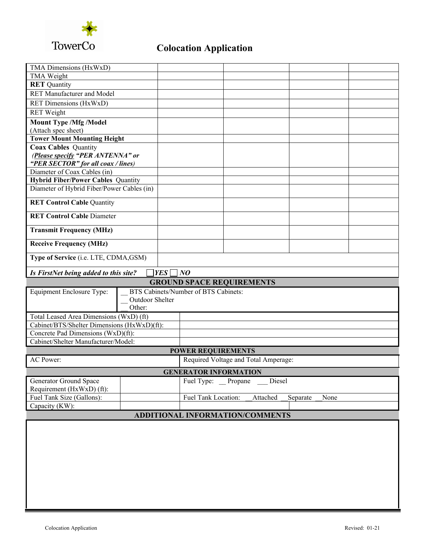

## **Colocation Application**

| TMA Dimensions (HxWxD)                                      |                 |                                      |                              |                                      |        |          |      |  |  |  |
|-------------------------------------------------------------|-----------------|--------------------------------------|------------------------------|--------------------------------------|--------|----------|------|--|--|--|
| <b>TMA Weight</b>                                           |                 |                                      |                              |                                      |        |          |      |  |  |  |
| <b>RET</b> Quantity                                         |                 |                                      |                              |                                      |        |          |      |  |  |  |
| <b>RET Manufacturer and Model</b>                           |                 |                                      |                              |                                      |        |          |      |  |  |  |
| RET Dimensions (HxWxD)                                      |                 |                                      |                              |                                      |        |          |      |  |  |  |
| <b>RET</b> Weight                                           |                 |                                      |                              |                                      |        |          |      |  |  |  |
| <b>Mount Type /Mfg /Model</b>                               |                 |                                      |                              |                                      |        |          |      |  |  |  |
| (Attach spec sheet)                                         |                 |                                      |                              |                                      |        |          |      |  |  |  |
| <b>Tower Mount Mounting Height</b>                          |                 |                                      |                              |                                      |        |          |      |  |  |  |
| <b>Coax Cables Quantity</b>                                 |                 |                                      |                              |                                      |        |          |      |  |  |  |
| (Please specify "PER ANTENNA" or                            |                 |                                      |                              |                                      |        |          |      |  |  |  |
| "PER SECTOR" for all coax / lines)                          |                 |                                      |                              |                                      |        |          |      |  |  |  |
| Diameter of Coax Cables (in)                                |                 |                                      |                              |                                      |        |          |      |  |  |  |
| <b>Hybrid Fiber/Power Cables Quantity</b>                   |                 |                                      |                              |                                      |        |          |      |  |  |  |
| Diameter of Hybrid Fiber/Power Cables (in)                  |                 |                                      |                              |                                      |        |          |      |  |  |  |
|                                                             |                 |                                      |                              |                                      |        |          |      |  |  |  |
| <b>RET Control Cable Quantity</b>                           |                 |                                      |                              |                                      |        |          |      |  |  |  |
| <b>RET Control Cable Diameter</b>                           |                 |                                      |                              |                                      |        |          |      |  |  |  |
| <b>Transmit Frequency (MHz)</b>                             |                 |                                      |                              |                                      |        |          |      |  |  |  |
| <b>Receive Frequency (MHz)</b>                              |                 |                                      |                              |                                      |        |          |      |  |  |  |
| Type of Service (i.e. LTE, CDMA, GSM)                       |                 |                                      |                              |                                      |        |          |      |  |  |  |
| YES  <br>$\neg$ NO<br>Is FirstNet being added to this site? |                 |                                      |                              |                                      |        |          |      |  |  |  |
| <b>GROUND SPACE REQUIREMENTS</b>                            |                 |                                      |                              |                                      |        |          |      |  |  |  |
| Equipment Enclosure Type:                                   |                 | BTS Cabinets/Number of BTS Cabinets: |                              |                                      |        |          |      |  |  |  |
|                                                             | Outdoor Shelter |                                      |                              |                                      |        |          |      |  |  |  |
|                                                             |                 |                                      |                              |                                      |        |          |      |  |  |  |
|                                                             | Other:          |                                      |                              |                                      |        |          |      |  |  |  |
|                                                             |                 |                                      |                              |                                      |        |          |      |  |  |  |
| Total Leased Area Dimensions (WxD) (ft)                     |                 |                                      |                              |                                      |        |          |      |  |  |  |
| Cabinet/BTS/Shelter Dimensions (HxWxD)(ft):                 |                 |                                      |                              |                                      |        |          |      |  |  |  |
| Concrete Pad Dimensions (WxD)(ft):                          |                 |                                      |                              |                                      |        |          |      |  |  |  |
| Cabinet/Shelter Manufacturer/Model:                         |                 |                                      |                              |                                      |        |          |      |  |  |  |
|                                                             |                 |                                      | <b>POWER REQUIREMENTS</b>    |                                      |        |          |      |  |  |  |
| <b>AC Power:</b>                                            |                 |                                      |                              | Required Voltage and Total Amperage: |        |          |      |  |  |  |
|                                                             |                 |                                      | <b>GENERATOR INFORMATION</b> |                                      |        |          |      |  |  |  |
| Generator Ground Space                                      |                 |                                      | Fuel Type: Propane           |                                      | Diesel |          |      |  |  |  |
| Requirement (HxWxD) (ft):                                   |                 |                                      |                              |                                      |        |          |      |  |  |  |
| Fuel Tank Size (Gallons):                                   |                 |                                      | Fuel Tank Location:          | Attached                             |        | Separate | None |  |  |  |
| Capacity (KW):                                              |                 |                                      |                              |                                      |        |          |      |  |  |  |
|                                                             |                 |                                      |                              | ADDITIONAL INFORMATION/COMMENTS      |        |          |      |  |  |  |
|                                                             |                 |                                      |                              |                                      |        |          |      |  |  |  |